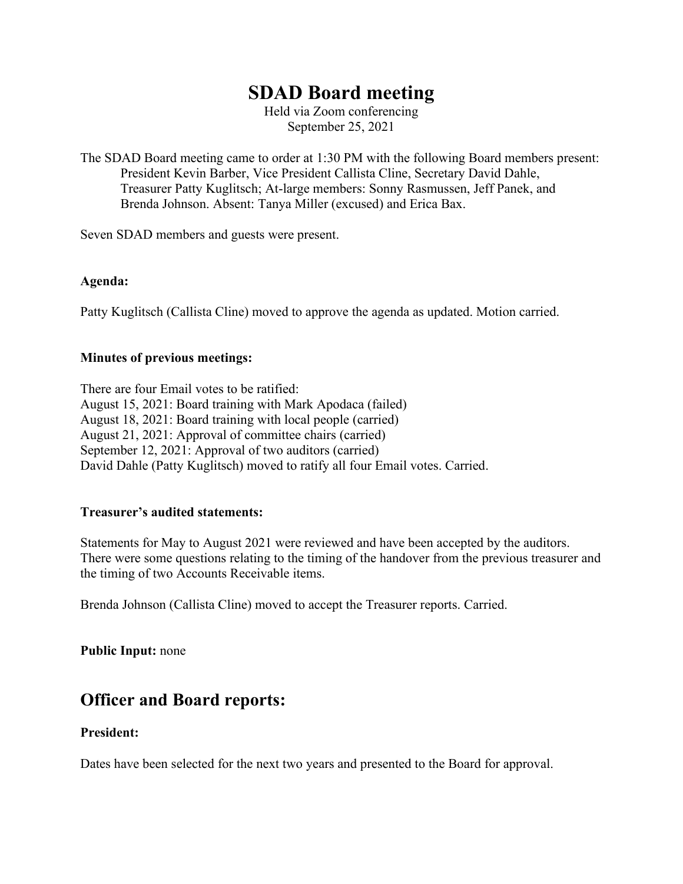# **SDAD Board meeting**

Held via Zoom conferencing September 25, 2021

The SDAD Board meeting came to order at 1:30 PM with the following Board members present: President Kevin Barber, Vice President Callista Cline, Secretary David Dahle, Treasurer Patty Kuglitsch; At-large members: Sonny Rasmussen, Jeff Panek, and Brenda Johnson. Absent: Tanya Miller (excused) and Erica Bax.

Seven SDAD members and guests were present.

#### **Agenda:**

Patty Kuglitsch (Callista Cline) moved to approve the agenda as updated. Motion carried.

#### **Minutes of previous meetings:**

There are four Email votes to be ratified: August 15, 2021: Board training with Mark Apodaca (failed) August 18, 2021: Board training with local people (carried) August 21, 2021: Approval of committee chairs (carried) September 12, 2021: Approval of two auditors (carried) David Dahle (Patty Kuglitsch) moved to ratify all four Email votes. Carried.

#### **Treasurer's audited statements:**

Statements for May to August 2021 were reviewed and have been accepted by the auditors. There were some questions relating to the timing of the handover from the previous treasurer and the timing of two Accounts Receivable items.

Brenda Johnson (Callista Cline) moved to accept the Treasurer reports. Carried.

**Public Input:** none

## **Officer and Board reports:**

#### **President:**

Dates have been selected for the next two years and presented to the Board for approval.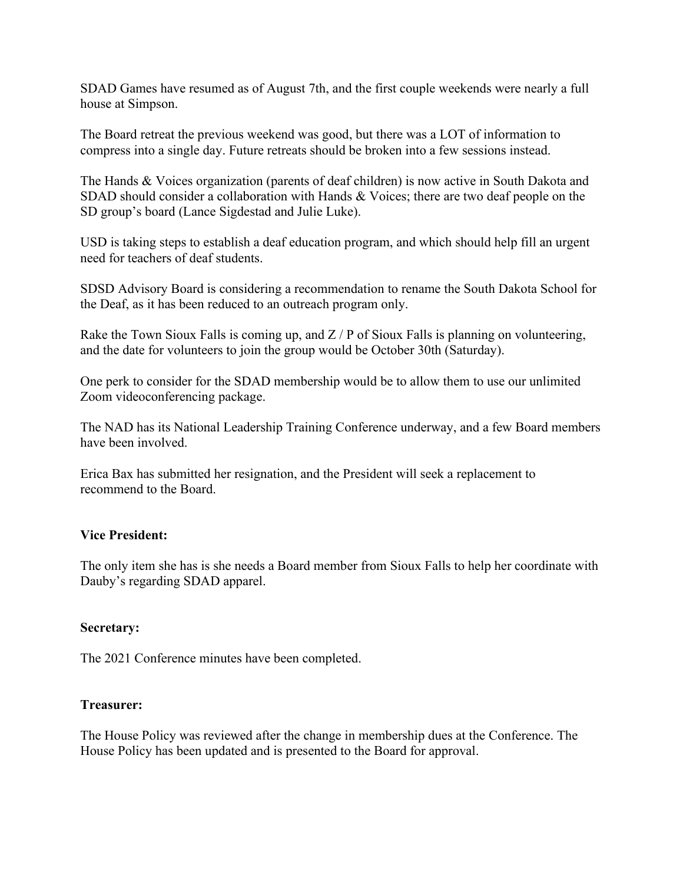SDAD Games have resumed as of August 7th, and the first couple weekends were nearly a full house at Simpson.

The Board retreat the previous weekend was good, but there was a LOT of information to compress into a single day. Future retreats should be broken into a few sessions instead.

The Hands & Voices organization (parents of deaf children) is now active in South Dakota and SDAD should consider a collaboration with Hands & Voices; there are two deaf people on the SD group's board (Lance Sigdestad and Julie Luke).

USD is taking steps to establish a deaf education program, and which should help fill an urgent need for teachers of deaf students.

SDSD Advisory Board is considering a recommendation to rename the South Dakota School for the Deaf, as it has been reduced to an outreach program only.

Rake the Town Sioux Falls is coming up, and  $Z/P$  of Sioux Falls is planning on volunteering, and the date for volunteers to join the group would be October 30th (Saturday).

One perk to consider for the SDAD membership would be to allow them to use our unlimited Zoom videoconferencing package.

The NAD has its National Leadership Training Conference underway, and a few Board members have been involved.

Erica Bax has submitted her resignation, and the President will seek a replacement to recommend to the Board.

#### **Vice President:**

The only item she has is she needs a Board member from Sioux Falls to help her coordinate with Dauby's regarding SDAD apparel.

#### **Secretary:**

The 2021 Conference minutes have been completed.

#### **Treasurer:**

The House Policy was reviewed after the change in membership dues at the Conference. The House Policy has been updated and is presented to the Board for approval.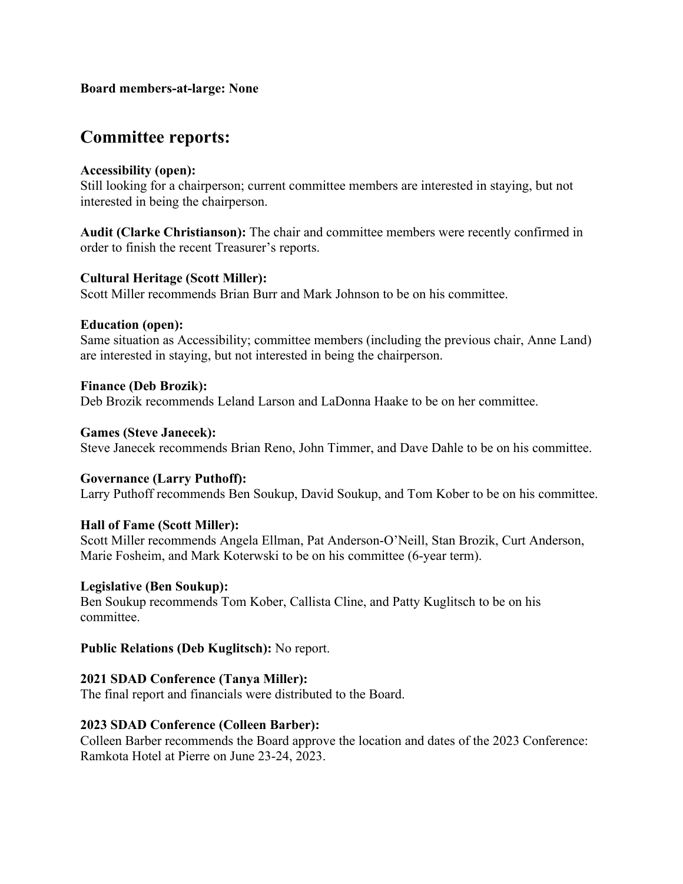#### **Board members-at-large: None**

# **Committee reports:**

#### **Accessibility (open):**

Still looking for a chairperson; current committee members are interested in staying, but not interested in being the chairperson.

**Audit (Clarke Christianson):** The chair and committee members were recently confirmed in order to finish the recent Treasurer's reports.

#### **Cultural Heritage (Scott Miller):**

Scott Miller recommends Brian Burr and Mark Johnson to be on his committee.

#### **Education (open):**

Same situation as Accessibility; committee members (including the previous chair, Anne Land) are interested in staying, but not interested in being the chairperson.

#### **Finance (Deb Brozik):**

Deb Brozik recommends Leland Larson and LaDonna Haake to be on her committee.

#### **Games (Steve Janecek):**

Steve Janecek recommends Brian Reno, John Timmer, and Dave Dahle to be on his committee.

#### **Governance (Larry Puthoff):**

Larry Puthoff recommends Ben Soukup, David Soukup, and Tom Kober to be on his committee.

#### **Hall of Fame (Scott Miller):**

Scott Miller recommends Angela Ellman, Pat Anderson-O'Neill, Stan Brozik, Curt Anderson, Marie Fosheim, and Mark Koterwski to be on his committee (6-year term).

#### **Legislative (Ben Soukup):**

Ben Soukup recommends Tom Kober, Callista Cline, and Patty Kuglitsch to be on his committee.

#### **Public Relations (Deb Kuglitsch):** No report.

#### **2021 SDAD Conference (Tanya Miller):**

The final report and financials were distributed to the Board.

#### **2023 SDAD Conference (Colleen Barber):**

Colleen Barber recommends the Board approve the location and dates of the 2023 Conference: Ramkota Hotel at Pierre on June 23-24, 2023.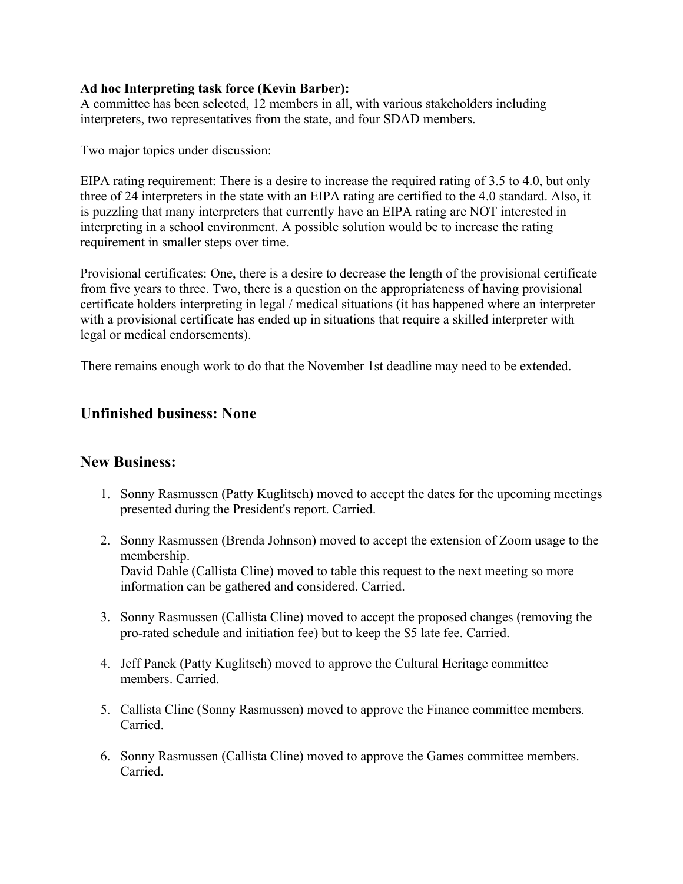#### **Ad hoc Interpreting task force (Kevin Barber):**

A committee has been selected, 12 members in all, with various stakeholders including interpreters, two representatives from the state, and four SDAD members.

Two major topics under discussion:

EIPA rating requirement: There is a desire to increase the required rating of 3.5 to 4.0, but only three of 24 interpreters in the state with an EIPA rating are certified to the 4.0 standard. Also, it is puzzling that many interpreters that currently have an EIPA rating are NOT interested in interpreting in a school environment. A possible solution would be to increase the rating requirement in smaller steps over time.

Provisional certificates: One, there is a desire to decrease the length of the provisional certificate from five years to three. Two, there is a question on the appropriateness of having provisional certificate holders interpreting in legal / medical situations (it has happened where an interpreter with a provisional certificate has ended up in situations that require a skilled interpreter with legal or medical endorsements).

There remains enough work to do that the November 1st deadline may need to be extended.

### **Unfinished business: None**

### **New Business:**

- 1. Sonny Rasmussen (Patty Kuglitsch) moved to accept the dates for the upcoming meetings presented during the President's report. Carried.
- 2. Sonny Rasmussen (Brenda Johnson) moved to accept the extension of Zoom usage to the membership. David Dahle (Callista Cline) moved to table this request to the next meeting so more information can be gathered and considered. Carried.
- 3. Sonny Rasmussen (Callista Cline) moved to accept the proposed changes (removing the pro-rated schedule and initiation fee) but to keep the \$5 late fee. Carried.
- 4. Jeff Panek (Patty Kuglitsch) moved to approve the Cultural Heritage committee members. Carried.
- 5. Callista Cline (Sonny Rasmussen) moved to approve the Finance committee members. Carried.
- 6. Sonny Rasmussen (Callista Cline) moved to approve the Games committee members. Carried.